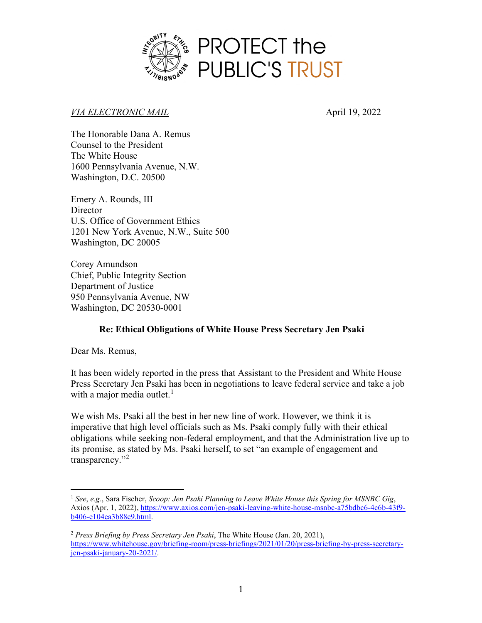

### *VIA ELECTRONIC MAIL* April 19, 2022

The Honorable Dana A. Remus Counsel to the President The White House 1600 Pennsylvania Avenue, N.W. Washington, D.C. 20500

Emery A. Rounds, III **Director** U.S. Office of Government Ethics 1201 New York Avenue, N.W., Suite 500 Washington, DC 20005

Corey Amundson Chief, Public Integrity Section Department of Justice 950 Pennsylvania Avenue, NW Washington, DC 20530-0001

## **Re: Ethical Obligations of White House Press Secretary Jen Psaki**

Dear Ms. Remus,

It has been widely reported in the press that Assistant to the President and White House Press Secretary Jen Psaki has been in negotiations to leave federal service and take a job with a major media outlet.<sup>[1](#page-0-0)</sup>

We wish Ms. Psaki all the best in her new line of work. However, we think it is imperative that high level officials such as Ms. Psaki comply fully with their ethical obligations while seeking non-federal employment, and that the Administration live up to its promise, as stated by Ms. Psaki herself, to set "an example of engagement and transparency."<sup>[2](#page-0-1)</sup>

<span id="page-0-0"></span><sup>1</sup> *See*, *e.g.*, Sara Fischer, *Scoop: Jen Psaki Planning to Leave White House this Spring for MSNBC Gig*, Axios (Apr. 1, 2022)[, https://www.axios.com/jen-psaki-leaving-white-house-msnbc-a75bdbc6-4c6b-43f9](https://www.axios.com/jen-psaki-leaving-white-house-msnbc-a75bdbc6-4c6b-43f9-b406-e104ea3b88e9.html) [b406-e104ea3b88e9.html.](https://www.axios.com/jen-psaki-leaving-white-house-msnbc-a75bdbc6-4c6b-43f9-b406-e104ea3b88e9.html)

<span id="page-0-1"></span><sup>2</sup> *Press Briefing by Press Secretary Jen Psaki*, The White House (Jan. 20, 2021), [https://www.whitehouse.gov/briefing-room/press-briefings/2021/01/20/press-briefing-by-press-secretary](https://www.whitehouse.gov/briefing-room/press-briefings/2021/01/20/press-briefing-by-press-secretary-jen-psaki-january-20-2021/)[jen-psaki-january-20-2021/.](https://www.whitehouse.gov/briefing-room/press-briefings/2021/01/20/press-briefing-by-press-secretary-jen-psaki-january-20-2021/)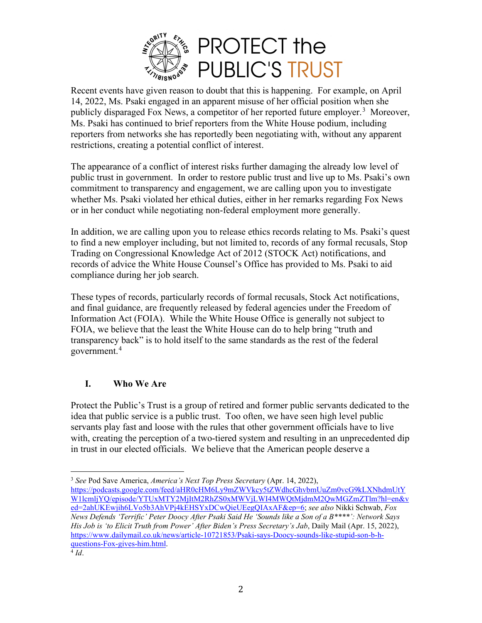

Recent events have given reason to doubt that this is happening. For example, on April 14, 2022, Ms. Psaki engaged in an apparent misuse of her official position when she publicly disparaged Fox News, a competitor of her reported future employer.<sup>[3](#page-1-0)</sup> Moreover, Ms. Psaki has continued to brief reporters from the White House podium, including reporters from networks she has reportedly been negotiating with, without any apparent restrictions, creating a potential conflict of interest.

The appearance of a conflict of interest risks further damaging the already low level of public trust in government. In order to restore public trust and live up to Ms. Psaki's own commitment to transparency and engagement, we are calling upon you to investigate whether Ms. Psaki violated her ethical duties, either in her remarks regarding Fox News or in her conduct while negotiating non-federal employment more generally.

In addition, we are calling upon you to release ethics records relating to Ms. Psaki's quest to find a new employer including, but not limited to, records of any formal recusals, Stop Trading on Congressional Knowledge Act of 2012 (STOCK Act) notifications, and records of advice the White House Counsel's Office has provided to Ms. Psaki to aid compliance during her job search.

These types of records, particularly records of formal recusals, Stock Act notifications, and final guidance, are frequently released by federal agencies under the Freedom of Information Act (FOIA). While the White House Office is generally not subject to FOIA, we believe that the least the White House can do to help bring "truth and transparency back" is to hold itself to the same standards as the rest of the federal government.[4](#page-1-1)

# **I. Who We Are**

Protect the Public's Trust is a group of retired and former public servants dedicated to the idea that public service is a public trust. Too often, we have seen high level public servants play fast and loose with the rules that other government officials have to live with, creating the perception of a two-tiered system and resulting in an unprecedented dip in trust in our elected officials. We believe that the American people deserve a

<sup>3</sup> *See* Pod Save America, *America's Next Top Press Secretary* (Apr. 14, 2022),

<span id="page-1-1"></span><span id="page-1-0"></span>[https://podcasts.google.com/feed/aHR0cHM6Ly9mZWVkcy5tZWdhcGhvbmUuZm0vcG9kLXNhdmUtY](https://podcasts.google.com/feed/aHR0cHM6Ly9mZWVkcy5tZWdhcGhvbmUuZm0vcG9kLXNhdmUtYW1lcmljYQ/episode/YTUxMTY2MjItM2RhZS0xMWVjLWI4MWQtMjdmM2QwMGZmZTlm?hl=en&ved=2ahUKEwjih6LVo5b3AhVPj4kEHSYxDCwQieUEegQIAxAF&ep=6) [W1lcmljYQ/episode/YTUxMTY2MjItM2RhZS0xMWVjLWI4MWQtMjdmM2QwMGZmZTlm?hl=en&v](https://podcasts.google.com/feed/aHR0cHM6Ly9mZWVkcy5tZWdhcGhvbmUuZm0vcG9kLXNhdmUtYW1lcmljYQ/episode/YTUxMTY2MjItM2RhZS0xMWVjLWI4MWQtMjdmM2QwMGZmZTlm?hl=en&ved=2ahUKEwjih6LVo5b3AhVPj4kEHSYxDCwQieUEegQIAxAF&ep=6) [ed=2ahUKEwjih6LVo5b3AhVPj4kEHSYxDCwQieUEegQIAxAF&ep=6;](https://podcasts.google.com/feed/aHR0cHM6Ly9mZWVkcy5tZWdhcGhvbmUuZm0vcG9kLXNhdmUtYW1lcmljYQ/episode/YTUxMTY2MjItM2RhZS0xMWVjLWI4MWQtMjdmM2QwMGZmZTlm?hl=en&ved=2ahUKEwjih6LVo5b3AhVPj4kEHSYxDCwQieUEegQIAxAF&ep=6) *see also* Nikki Schwab, *Fox News Defends 'Terrific' Peter Doocy After Psaki Said He 'Sounds like a Son of a B\*\*\*\*': Network Says His Job is 'to Elicit Truth from Power' After Biden's Press Secretary's Jab*, Daily Mail (Apr. 15, 2022), [https://www.dailymail.co.uk/news/article-10721853/Psaki-says-Doocy-sounds-like-stupid-son-b-h](https://www.dailymail.co.uk/news/article-10721853/Psaki-says-Doocy-sounds-like-stupid-son-b-h-questions-Fox-gives-him.html)[questions-Fox-gives-him.html.](https://www.dailymail.co.uk/news/article-10721853/Psaki-says-Doocy-sounds-like-stupid-son-b-h-questions-Fox-gives-him.html) 4 *Id*.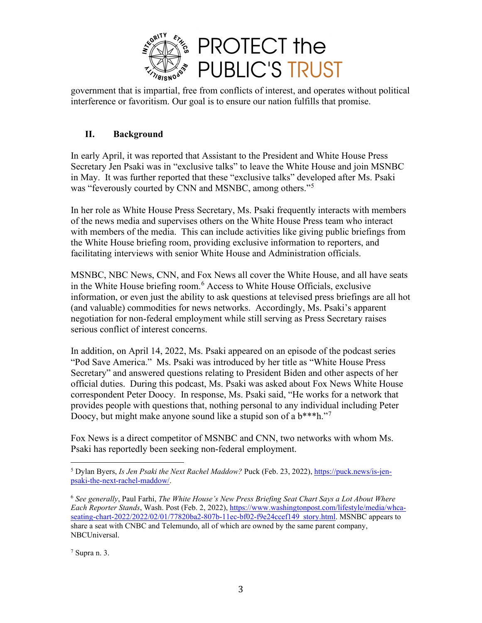

government that is impartial, free from conflicts of interest, and operates without political interference or favoritism. Our goal is to ensure our nation fulfills that promise.

## **II. Background**

In early April, it was reported that Assistant to the President and White House Press Secretary Jen Psaki was in "exclusive talks" to leave the White House and join MSNBC in May. It was further reported that these "exclusive talks" developed after Ms. Psaki was "feverously courted by CNN and MSNBC, among others."<sup>[5](#page-2-0)</sup>

In her role as White House Press Secretary, Ms. Psaki frequently interacts with members of the news media and supervises others on the White House Press team who interact with members of the media. This can include activities like giving public briefings from the White House briefing room, providing exclusive information to reporters, and facilitating interviews with senior White House and Administration officials.

MSNBC, NBC News, CNN, and Fox News all cover the White House, and all have seats in the White House briefing room.<sup>[6](#page-2-1)</sup> Access to White House Officials, exclusive information, or even just the ability to ask questions at televised press briefings are all hot (and valuable) commodities for news networks. Accordingly, Ms. Psaki's apparent negotiation for non-federal employment while still serving as Press Secretary raises serious conflict of interest concerns.

In addition, on April 14, 2022, Ms. Psaki appeared on an episode of the podcast series "Pod Save America." Ms. Psaki was introduced by her title as "White House Press Secretary" and answered questions relating to President Biden and other aspects of her official duties. During this podcast, Ms. Psaki was asked about Fox News White House correspondent Peter Doocy. In response, Ms. Psaki said, "He works for a network that provides people with questions that, nothing personal to any individual including Peter Doocy, but might make anyone sound like a stupid son of a b\*\*\*h."[7](#page-2-2)

Fox News is a direct competitor of MSNBC and CNN, two networks with whom Ms. Psaki has reportedly been seeking non-federal employment.

<span id="page-2-0"></span><sup>5</sup> Dylan Byers, *Is Jen Psaki the Next Rachel Maddow?* Puck (Feb. 23, 2022), [https://puck.news/is-jen](https://puck.news/is-jen-psaki-the-next-rachel-maddow/)[psaki-the-next-rachel-maddow/.](https://puck.news/is-jen-psaki-the-next-rachel-maddow/)

<span id="page-2-1"></span><sup>6</sup> *See generally*, Paul Farhi, *The White House's New Press Briefing Seat Chart Says a Lot About Where Each Reporter Stands*, Wash. Post (Feb. 2, 2022), [https://www.washingtonpost.com/lifestyle/media/whca](https://www.washingtonpost.com/lifestyle/media/whca-seating-chart-2022/2022/02/01/77820ba2-807b-11ec-bf02-f9e24ccef149_story.html)[seating-chart-2022/2022/02/01/77820ba2-807b-11ec-bf02-f9e24ccef149\\_story.html.](https://www.washingtonpost.com/lifestyle/media/whca-seating-chart-2022/2022/02/01/77820ba2-807b-11ec-bf02-f9e24ccef149_story.html) MSNBC appears to share a seat with CNBC and Telemundo, all of which are owned by the same parent company, NBCUniversal.

<span id="page-2-2"></span> $<sup>7</sup>$  Supra n. 3.</sup>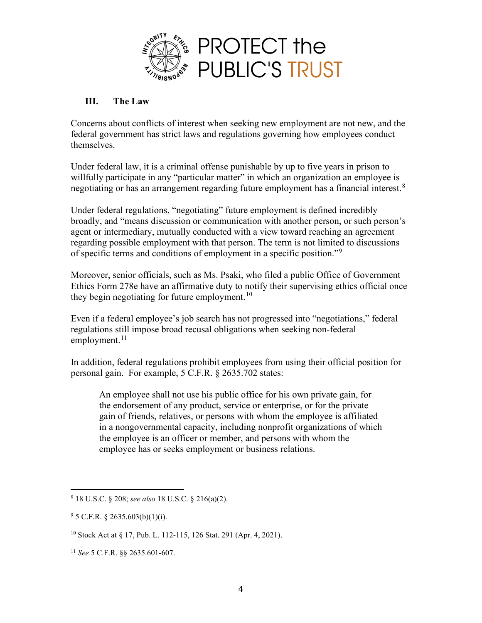

### **III. The Law**

Concerns about conflicts of interest when seeking new employment are not new, and the federal government has strict laws and regulations governing how employees conduct themselves.

Under federal law, it is a criminal offense punishable by up to five years in prison to willfully participate in any "particular matter" in which an organization an employee is negotiating or has an arrangement regarding future employment has a financial interest.<sup>[8](#page-3-0)</sup>

Under federal regulations, "negotiating" future employment is defined incredibly broadly, and "means discussion or communication with another person, or such person's agent or intermediary, mutually conducted with a view toward reaching an agreement regarding possible employment with that person. The term is not limited to discussions of specific terms and conditions of employment in a specific position."[9](#page-3-1)

Moreover, senior officials, such as Ms. Psaki, who filed a public Office of Government Ethics Form 278e have an affirmative duty to notify their supervising ethics official once they begin negotiating for future employment.<sup>[10](#page-3-2)</sup>

Even if a federal employee's job search has not progressed into "negotiations," federal regulations still impose broad recusal obligations when seeking non-federal employment. $^{11}$  $^{11}$  $^{11}$ 

In addition, federal regulations prohibit employees from using their official position for personal gain. For example, 5 C.F.R. § 2635.702 states:

An employee shall not use his public office for his own private gain, for the endorsement of any product, service or enterprise, or for the private gain of friends, relatives, or persons with whom the employee is affiliated in a nongovernmental capacity, including nonprofit organizations of which the employee is an officer or member, and persons with whom the employee has or seeks employment or business relations.

<span id="page-3-0"></span><sup>8</sup> 18 U.S.C. § 208; *see also* 18 U.S.C. § 216(a)(2).

<span id="page-3-1"></span> $95$  C.F.R. § 2635.603(b)(1)(i).

<span id="page-3-2"></span><sup>10</sup> Stock Act at § 17, Pub. L. 112-115, 126 Stat. 291 (Apr. 4, 2021).

<span id="page-3-3"></span><sup>11</sup> *See* 5 C.F.R. §§ 2635.601-607.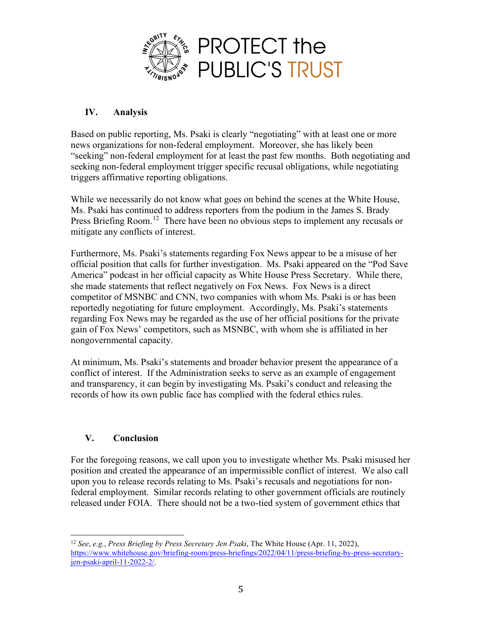

# **IV. Analysis**

Based on public reporting, Ms. Psaki is clearly "negotiating" with at least one or more news organizations for non-federal employment. Moreover, she has likely been "seeking" non-federal employment for at least the past few months. Both negotiating and seeking non-federal employment trigger specific recusal obligations, while negotiating triggers affirmative reporting obligations.

While we necessarily do not know what goes on behind the scenes at the White House, Ms. Psaki has continued to address reporters from the podium in the James S. Brady Press Briefing Room.<sup>[12](#page-4-0)</sup> There have been no obvious steps to implement any recusals or mitigate any conflicts of interest.

Furthermore, Ms. Psaki's statements regarding Fox News appear to be a misuse of her official position that calls for further investigation. Ms. Psaki appeared on the "Pod Save America" podcast in her official capacity as White House Press Secretary. While there, she made statements that reflect negatively on Fox News. Fox News is a direct competitor of MSNBC and CNN, two companies with whom Ms. Psaki is or has been reportedly negotiating for future employment. Accordingly, Ms. Psaki's statements regarding Fox News may be regarded as the use of her official positions for the private gain of Fox News' competitors, such as MSNBC, with whom she is affiliated in her nongovernmental capacity.

At minimum, Ms. Psaki's statements and broader behavior present the appearance of a conflict of interest. If the Administration seeks to serve as an example of engagement and transparency, it can begin by investigating Ms. Psaki's conduct and releasing the records of how its own public face has complied with the federal ethics rules.

## **V. Conclusion**

For the foregoing reasons, we call upon you to investigate whether Ms. Psaki misused her position and created the appearance of an impermissible conflict of interest. We also call upon you to release records relating to Ms. Psaki's recusals and negotiations for nonfederal employment. Similar records relating to other government officials are routinely released under FOIA. There should not be a two-tied system of government ethics that

<span id="page-4-0"></span><sup>12</sup> *See*, *e.g.*, *Press Briefing by Press Secretary Jen Psaki*, The White House (Apr. 11, 2022), [https://www.whitehouse.gov/briefing-room/press-briefings/2022/04/11/press-briefing-by-press-secretary](https://www.whitehouse.gov/briefing-room/press-briefings/2022/04/11/press-briefing-by-press-secretary-jen-psaki-april-11-2022-2/)[jen-psaki-april-11-2022-2/.](https://www.whitehouse.gov/briefing-room/press-briefings/2022/04/11/press-briefing-by-press-secretary-jen-psaki-april-11-2022-2/)